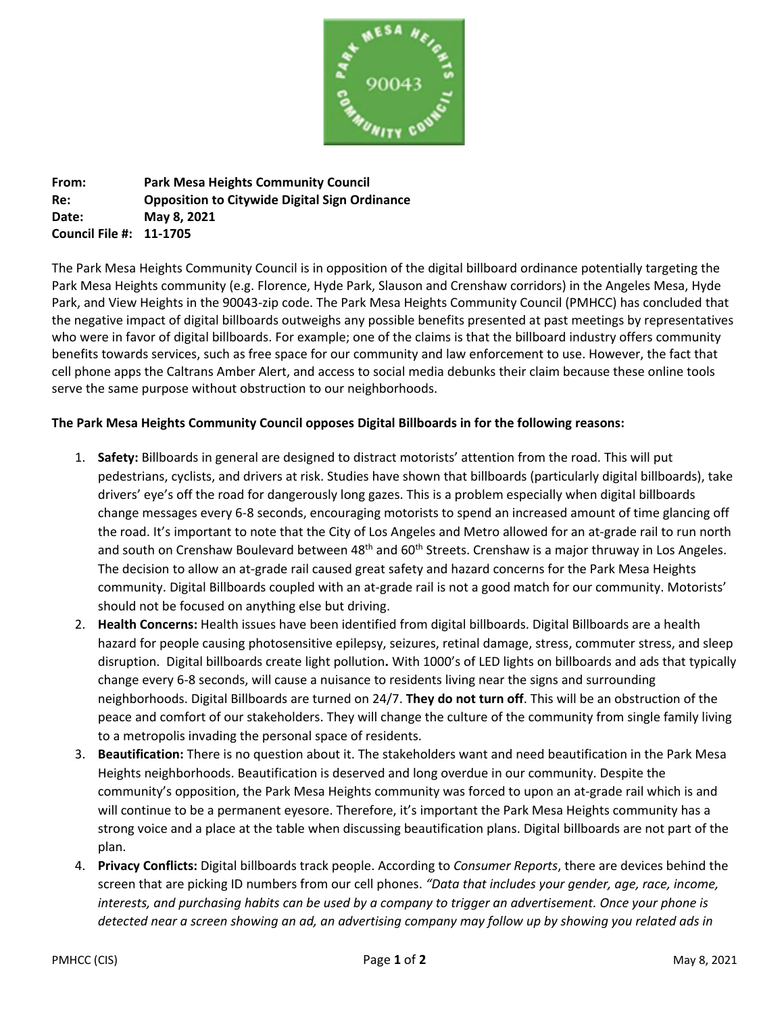

**From: Park Mesa Heights Community Council Re: Opposition to Citywide Digital Sign Ordinance Date: May 8, 2021 Council File #: 11-1705**

The Park Mesa Heights Community Council is in opposition of the digital billboard ordinance potentially targeting the Park Mesa Heights community (e.g. Florence, Hyde Park, Slauson and Crenshaw corridors) in the Angeles Mesa, Hyde Park, and View Heights in the 90043-zip code. The Park Mesa Heights Community Council (PMHCC) has concluded that the negative impact of digital billboards outweighs any possible benefits presented at past meetings by representatives who were in favor of digital billboards. For example; one of the claims is that the billboard industry offers community benefits towards services, such as free space for our community and law enforcement to use. However, the fact that cell phone apps the Caltrans Amber Alert, and access to social media debunks their claim because these online tools serve the same purpose without obstruction to our neighborhoods.

## **The Park Mesa Heights Community Council opposes Digital Billboards in for the following reasons:**

- 1. **Safety:** Billboards in general are designed to distract motorists' attention from the road. This will put pedestrians, cyclists, and drivers at risk. Studies have shown that billboards (particularly digital billboards), take drivers' eye's off the road for dangerously long gazes. This is a problem especially when digital billboards change messages every 6-8 seconds, encouraging motorists to spend an increased amount of time glancing off the road. It's important to note that the City of Los Angeles and Metro allowed for an at-grade rail to run north and south on Crenshaw Boulevard between  $48<sup>th</sup>$  and  $60<sup>th</sup>$  Streets. Crenshaw is a major thruway in Los Angeles. The decision to allow an at-grade rail caused great safety and hazard concerns for the Park Mesa Heights community. Digital Billboards coupled with an at-grade rail is not a good match for our community. Motorists' should not be focused on anything else but driving.
- 2. **Health Concerns:** Health issues have been identified from digital billboards. Digital Billboards are a health hazard for people causing photosensitive epilepsy, seizures, retinal damage, stress, commuter stress, and sleep disruption. Digital billboards create light pollution**.** With 1000's of LED lights on billboards and ads that typically change every 6-8 seconds, will cause a nuisance to residents living near the signs and surrounding neighborhoods. Digital Billboards are turned on 24/7. **They do not turn off**. This will be an obstruction of the peace and comfort of our stakeholders. They will change the culture of the community from single family living to a metropolis invading the personal space of residents.
- 3. **Beautification:** There is no question about it. The stakeholders want and need beautification in the Park Mesa Heights neighborhoods. Beautification is deserved and long overdue in our community. Despite the community's opposition, the Park Mesa Heights community was forced to upon an at-grade rail which is and will continue to be a permanent eyesore. Therefore, it's important the Park Mesa Heights community has a strong voice and a place at the table when discussing beautification plans. Digital billboards are not part of the plan.
- 4. **Privacy Conflicts:** Digital billboards track people. According to *Consumer Reports*, there are devices behind the screen that are picking ID numbers from our cell phones. *"Data that includes your gender, age, race, income, interests, and purchasing habits can be used by a company to trigger an advertisement. Once your phone is detected near a screen showing an ad, an advertising company may follow up by showing you related ads in*